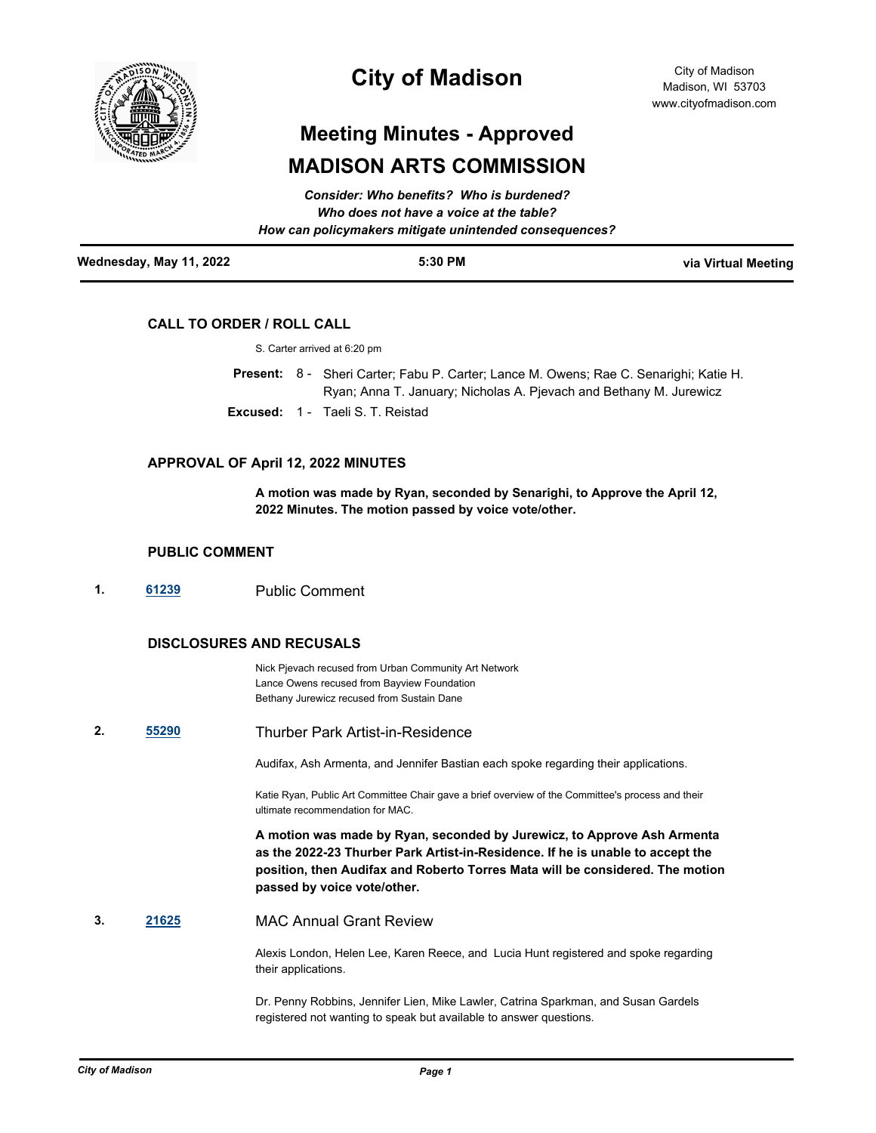

## **City of Madison**

# **Meeting Minutes - Approved MADISON ARTS COMMISSION**

|                         | How can policymakers mitigate unintended consequences? |                     |
|-------------------------|--------------------------------------------------------|---------------------|
| Wednesday, May 11, 2022 | 5:30 PM                                                | via Virtual Meeting |

### **CALL TO ORDER / ROLL CALL**

Present: 8 - Sheri Carter; Fabu P. Carter; Lance M. Owens; Rae C. Senarighi; Katie H. Ryan; Anna T. January; Nicholas A. Pjevach and Bethany M. Jurewicz **Excused:** 1 - Taeli S. T. Reistad

#### **APPROVAL OF April 12, 2022 MINUTES**

**A motion was made by Ryan, seconded by Senarighi, to Approve the April 12, 2022 Minutes. The motion passed by voice vote/other.**

#### **PUBLIC COMMENT**

**1. [61239](http://madison.legistar.com/gateway.aspx?m=l&id=/matter.aspx?key=71974)** Public Comment

#### **DISCLOSURES AND RECUSALS**

Nick Pjevach recused from Urban Community Art Network Lance Owens recused from Bayview Foundation Bethany Jurewicz recused from Sustain Dane

**2. [55290](http://madison.legistar.com/gateway.aspx?m=l&id=/matter.aspx?key=65780)** Thurber Park Artist-in-Residence

Audifax, Ash Armenta, and Jennifer Bastian each spoke regarding their applications.

Katie Ryan, Public Art Committee Chair gave a brief overview of the Committee's process and their ultimate recommendation for MAC.

**A motion was made by Ryan, seconded by Jurewicz, to Approve Ash Armenta as the 2022-23 Thurber Park Artist-in-Residence. If he is unable to accept the position, then Audifax and Roberto Torres Mata will be considered. The motion passed by voice vote/other.**

**3. [21625](http://madison.legistar.com/gateway.aspx?m=l&id=/matter.aspx?key=23921)** MAC Annual Grant Review

Alexis London, Helen Lee, Karen Reece, and Lucia Hunt registered and spoke regarding their applications.

Dr. Penny Robbins, Jennifer Lien, Mike Lawler, Catrina Sparkman, and Susan Gardels registered not wanting to speak but available to answer questions.